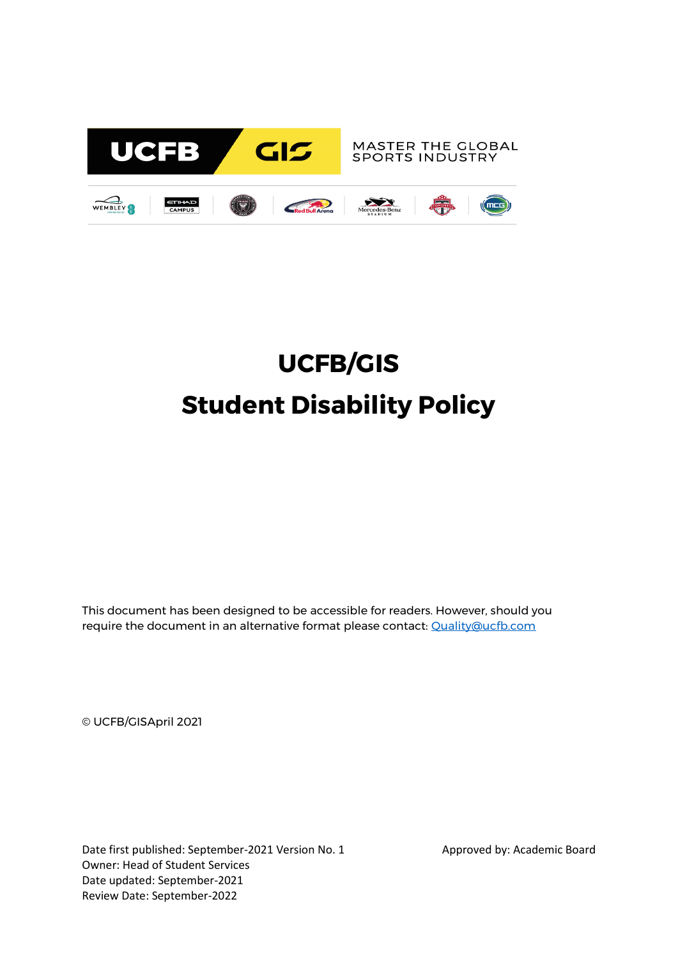

# **UCFB/GIS Student Disability Policy**

This document has been designed to be accessible for readers. However, should you require the document in an alternative format please contact: [Quality@ucfb.com](mailto:Quality@ucfb.com)

© UCFB/GISApril 2021

Date first published: September-2021 Version No. 1 Approved by: Academic Board Owner: Head of Student Services Date updated: September-2021 Review Date: September-2022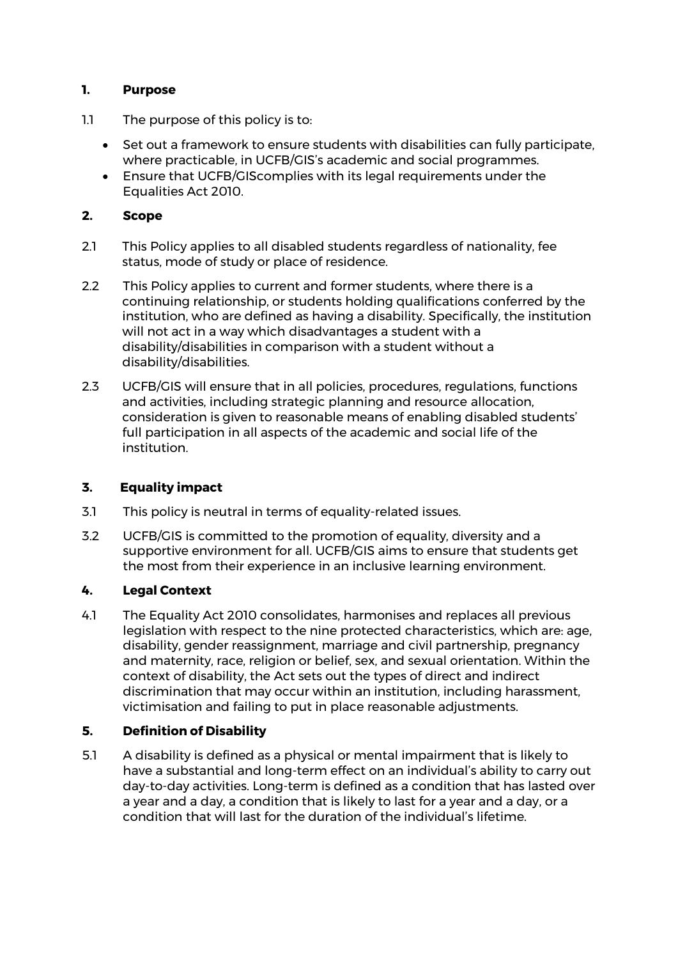#### **1. Purpose**

- 1.1 The purpose of this policy is to:
	- Set out a framework to ensure students with disabilities can fully participate, where practicable, in UCFB/GIS's academic and social programmes.
	- Ensure that UCFB/GIScomplies with its legal requirements under the Equalities Act 2010.

#### **2. Scope**

- 2.1 This Policy applies to all disabled students regardless of nationality, fee status, mode of study or place of residence.
- 2.2 This Policy applies to current and former students, where there is a continuing relationship, or students holding qualifications conferred by the institution, who are defined as having a disability. Specifically, the institution will not act in a way which disadvantages a student with a disability/disabilities in comparison with a student without a disability/disabilities.
- 2.3 UCFB/GIS will ensure that in all policies, procedures, regulations, functions and activities, including strategic planning and resource allocation, consideration is given to reasonable means of enabling disabled students' full participation in all aspects of the academic and social life of the institution.

#### **3. Equality impact**

- 3.1 This policy is neutral in terms of equality-related issues.
- 3.2 UCFB/GIS is committed to the promotion of equality, diversity and a supportive environment for all. UCFB/GIS aims to ensure that students get the most from their experience in an inclusive learning environment.

#### **4. Legal Context**

4.1 The Equality Act 2010 consolidates, harmonises and replaces all previous legislation with respect to the nine protected characteristics, which are: age, disability, gender reassignment, marriage and civil partnership, pregnancy and maternity, race, religion or belief, sex, and sexual orientation. Within the context of disability, the Act sets out the types of direct and indirect discrimination that may occur within an institution, including harassment, victimisation and failing to put in place reasonable adjustments.

#### **5. Definition of Disability**

5.1 A disability is defined as a physical or mental impairment that is likely to have a substantial and long-term effect on an individual's ability to carry out day-to-day activities. Long-term is defined as a condition that has lasted over a year and a day, a condition that is likely to last for a year and a day, or a condition that will last for the duration of the individual's lifetime.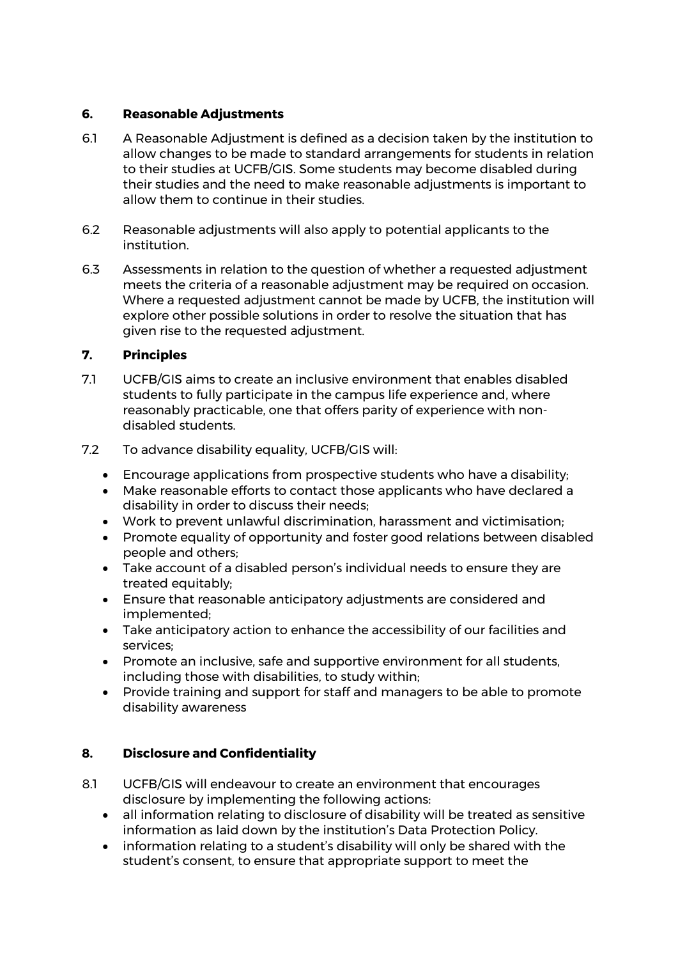### **6. Reasonable Adjustments**

- 6.1 A Reasonable Adjustment is defined as a decision taken by the institution to allow changes to be made to standard arrangements for students in relation to their studies at UCFB/GIS. Some students may become disabled during their studies and the need to make reasonable adjustments is important to allow them to continue in their studies.
- 6.2 Reasonable adjustments will also apply to potential applicants to the institution.
- 6.3 Assessments in relation to the question of whether a requested adjustment meets the criteria of a reasonable adjustment may be required on occasion. Where a requested adjustment cannot be made by UCFB, the institution will explore other possible solutions in order to resolve the situation that has given rise to the requested adjustment.

## **7. Principles**

- 7.1 UCFB/GIS aims to create an inclusive environment that enables disabled students to fully participate in the campus life experience and, where reasonably practicable, one that offers parity of experience with nondisabled students.
- 7.2 To advance disability equality, UCFB/GIS will:
	- Encourage applications from prospective students who have a disability;
	- Make reasonable efforts to contact those applicants who have declared a disability in order to discuss their needs;
	- Work to prevent unlawful discrimination, harassment and victimisation;
	- Promote equality of opportunity and foster good relations between disabled people and others;
	- Take account of a disabled person's individual needs to ensure they are treated equitably;
	- Ensure that reasonable anticipatory adjustments are considered and implemented;
	- Take anticipatory action to enhance the accessibility of our facilities and services;
	- Promote an inclusive, safe and supportive environment for all students, including those with disabilities, to study within;
	- Provide training and support for staff and managers to be able to promote disability awareness

## **8. Disclosure and Confidentiality**

- 8.1 UCFB/GIS will endeavour to create an environment that encourages disclosure by implementing the following actions:
	- all information relating to disclosure of disability will be treated as sensitive information as laid down by the institution's Data Protection Policy.
	- information relating to a student's disability will only be shared with the student's consent, to ensure that appropriate support to meet the